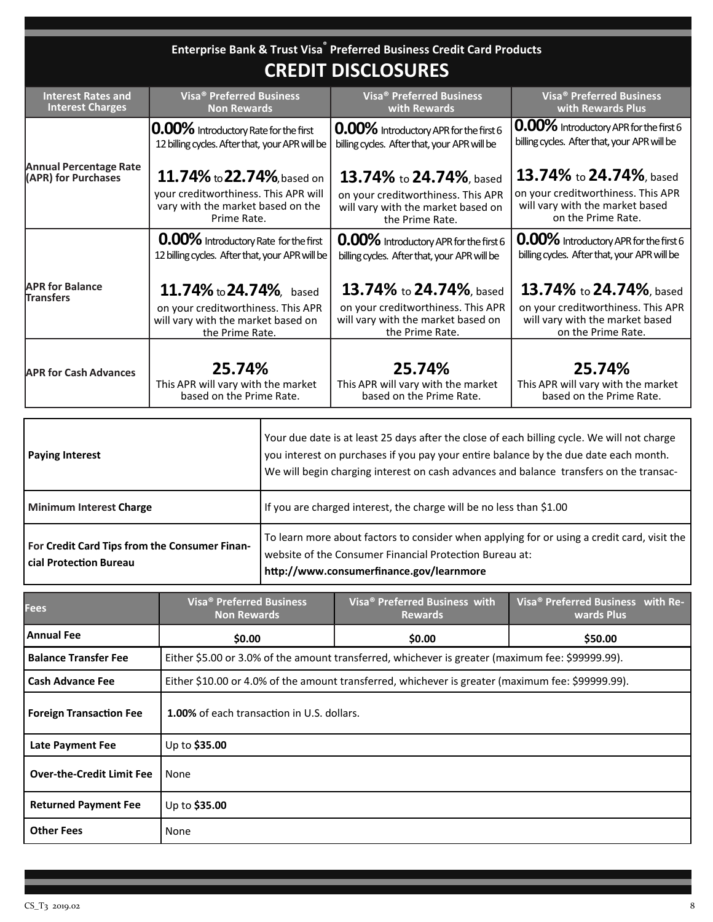## **Enterprise Bank & Trust Visa® Preferred Business Credit Card Products**

## **CREDIT DISCLOSURES**

| <b>Interest Rates and</b>                            | Visa <sup>®</sup> Preferred Business            | <b>Visa<sup>®</sup> Preferred Business</b>   | <b>Visa<sup>®</sup> Preferred Business</b>    |
|------------------------------------------------------|-------------------------------------------------|----------------------------------------------|-----------------------------------------------|
| <b>Interest Charges</b>                              | <b>Non Rewards</b>                              | with Rewards                                 | with Rewards Plus                             |
|                                                      | <b>0.00%</b> Introductory Rate for the first    | 0.00% Introductory APR for the first 6       | <b>0.00%</b> Introductory APR for the first 6 |
|                                                      | 12 billing cycles. After that, your APR will be | billing cycles. After that, your APR will be | billing cycles. After that, your APR will be  |
| <b>Annual Percentage Rate</b><br>(APR) for Purchases | 11.74% to 22.74%, based on                      | 13.74% to 24.74%, based                      | 13.74% to 24.74%, based                       |
|                                                      | your creditworthiness. This APR will            | on your creditworthiness. This APR           | on your creditworthiness. This APR            |
|                                                      | vary with the market based on the               | will vary with the market based on           | will vary with the market based               |
|                                                      | Prime Rate.                                     | the Prime Rate.                              | on the Prime Rate.                            |
|                                                      | 0.00% Introductory Rate for the first           | 0.00% Introductory APR for the first 6       | 0.00% Introductory APR for the first 6        |
|                                                      | 12 billing cycles. After that, your APR will be | billing cycles. After that, your APR will be | billing cycles. After that, your APR will be  |
| <b>APR for Balance</b><br><b>Transfers</b>           | 11.74% to 24.74%, based                         | 13.74% to 24.74%, based                      | 13.74% to 24.74%, based                       |
|                                                      | on your creditworthiness. This APR              | on your creditworthiness. This APR           | on your creditworthiness. This APR            |
|                                                      | will vary with the market based on              | will vary with the market based on           | will vary with the market based               |
|                                                      | the Prime Rate.                                 | the Prime Rate.                              | on the Prime Rate.                            |
|                                                      |                                                 |                                              |                                               |
| <b>APR for Cash Advances</b>                         | 25.74%                                          | 25.74%                                       | 25.74%                                        |
|                                                      | This APR will vary with the market              | This APR will vary with the market           | This APR will vary with the market            |
|                                                      | based on the Prime Rate.                        | based on the Prime Rate.                     | based on the Prime Rate.                      |

| <b>Paying Interest</b>                                                  | Your due date is at least 25 days after the close of each billing cycle. We will not charge<br>you interest on purchases if you pay your entire balance by the due date each month.<br>We will begin charging interest on cash advances and balance transfers on the transac- |  |  |
|-------------------------------------------------------------------------|-------------------------------------------------------------------------------------------------------------------------------------------------------------------------------------------------------------------------------------------------------------------------------|--|--|
| <b>Minimum Interest Charge</b>                                          | If you are charged interest, the charge will be no less than \$1.00                                                                                                                                                                                                           |  |  |
| For Credit Card Tips from the Consumer Finan-<br>cial Protection Bureau | To learn more about factors to consider when applying for or using a credit card, visit the<br>website of the Consumer Financial Protection Bureau at:<br>http://www.consumerfinance.gov/learnmore                                                                            |  |  |

| Fees                             | Visa <sup>®</sup> Preferred Business<br><b>Non Rewards</b>                                        | Visa <sup>®</sup> Preferred Business with<br><b>Rewards</b> | Visa <sup>®</sup> Preferred Business with Re-<br>wards Plus |  |  |
|----------------------------------|---------------------------------------------------------------------------------------------------|-------------------------------------------------------------|-------------------------------------------------------------|--|--|
| Annual Fee                       | \$0.00                                                                                            | \$0.00                                                      | \$50.00                                                     |  |  |
| <b>Balance Transfer Fee</b>      | Either \$5.00 or 3.0% of the amount transferred, whichever is greater (maximum fee: \$99999.99).  |                                                             |                                                             |  |  |
| <b>Cash Advance Fee</b>          | Either \$10.00 or 4.0% of the amount transferred, whichever is greater (maximum fee: \$99999.99). |                                                             |                                                             |  |  |
| <b>Foreign Transaction Fee</b>   | 1.00% of each transaction in U.S. dollars.                                                        |                                                             |                                                             |  |  |
| <b>Late Payment Fee</b>          | Up to \$35.00                                                                                     |                                                             |                                                             |  |  |
| <b>Over-the-Credit Limit Fee</b> | None                                                                                              |                                                             |                                                             |  |  |
| <b>Returned Payment Fee</b>      | Up to \$35.00                                                                                     |                                                             |                                                             |  |  |
| <b>Other Fees</b>                | None                                                                                              |                                                             |                                                             |  |  |